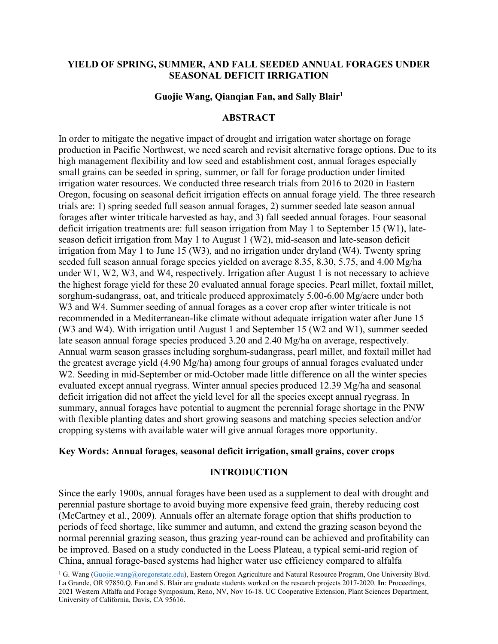# **YIELD OF SPRING, SUMMER, AND FALL SEEDED ANNUAL FORAGES UNDER SEASONAL DEFICIT IRRIGATION**

### **Guojie Wang, Qianqian Fan, and Sally Blair1**

## **ABSTRACT**

In order to mitigate the negative impact of drought and irrigation water shortage on forage production in Pacific Northwest, we need search and revisit alternative forage options. Due to its high management flexibility and low seed and establishment cost, annual forages especially small grains can be seeded in spring, summer, or fall for forage production under limited irrigation water resources. We conducted three research trials from 2016 to 2020 in Eastern Oregon, focusing on seasonal deficit irrigation effects on annual forage yield. The three research trials are: 1) spring seeded full season annual forages, 2) summer seeded late season annual forages after winter triticale harvested as hay, and 3) fall seeded annual forages. Four seasonal deficit irrigation treatments are: full season irrigation from May 1 to September 15 (W1), lateseason deficit irrigation from May 1 to August 1 (W2), mid-season and late-season deficit irrigation from May 1 to June 15 (W3), and no irrigation under dryland (W4). Twenty spring seeded full season annual forage species yielded on average 8.35, 8.30, 5.75, and 4.00 Mg/ha under W1, W2, W3, and W4, respectively. Irrigation after August 1 is not necessary to achieve the highest forage yield for these 20 evaluated annual forage species. Pearl millet, foxtail millet, sorghum-sudangrass, oat, and triticale produced approximately 5.00-6.00 Mg/acre under both W3 and W4. Summer seeding of annual forages as a cover crop after winter triticale is not recommended in a Mediterranean-like climate without adequate irrigation water after June 15 (W3 and W4). With irrigation until August 1 and September 15 (W2 and W1), summer seeded late season annual forage species produced 3.20 and 2.40 Mg/ha on average, respectively. Annual warm season grasses including sorghum-sudangrass, pearl millet, and foxtail millet had the greatest average yield (4.90 Mg/ha) among four groups of annual forages evaluated under W2. Seeding in mid-September or mid-October made little difference on all the winter species evaluated except annual ryegrass. Winter annual species produced 12.39 Mg/ha and seasonal deficit irrigation did not affect the yield level for all the species except annual ryegrass. In summary, annual forages have potential to augment the perennial forage shortage in the PNW with flexible planting dates and short growing seasons and matching species selection and/or cropping systems with available water will give annual forages more opportunity.

### **Key Words: Annual forages, seasonal deficit irrigation, small grains, cover crops**

#### **INTRODUCTION**

Since the early 1900s, annual forages have been used as a supplement to deal with drought and perennial pasture shortage to avoid buying more expensive feed grain, thereby reducing cost (McCartney et al., 2009). Annuals offer an alternate forage option that shifts production to periods of feed shortage, like summer and autumn, and extend the grazing season beyond the normal perennial grazing season, thus grazing year-round can be achieved and profitability can be improved. Based on a study conducted in the Loess Plateau, a typical semi-arid region of China, annual forage-based systems had higher water use efficiency compared to alfalfa

<sup>1</sup> G. Wang [\(Guojie.wang@oregonstate.edu\)](mailto:Guojie.wang@oregonstate.edu), Eastern Oregon Agriculture and Natural Resource Program, One University Blvd. La Grande, OR 97850.Q. Fan and S. Blair are graduate students worked on the research projects 2017-2020. **In**: Proceedings, 2021 Western Alfalfa and Forage Symposium, Reno, NV, Nov 16-18. UC Cooperative Extension, Plant Sciences Department, University of California, Davis, CA 95616.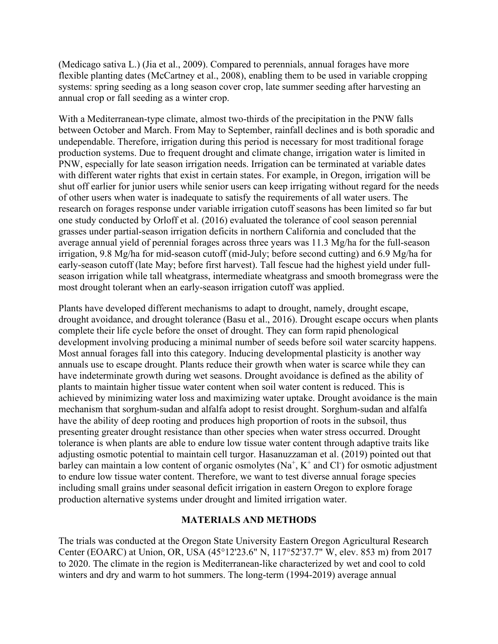(Medicago sativa L.) (Jia et al., 2009). Compared to perennials, annual forages have more flexible planting dates (McCartney et al., 2008), enabling them to be used in variable cropping systems: spring seeding as a long season cover crop, late summer seeding after harvesting an annual crop or fall seeding as a winter crop.

With a Mediterranean-type climate, almost two-thirds of the precipitation in the PNW falls between October and March. From May to September, rainfall declines and is both sporadic and undependable. Therefore, irrigation during this period is necessary for most traditional forage production systems. Due to frequent drought and climate change, irrigation water is limited in PNW, especially for late season irrigation needs. Irrigation can be terminated at variable dates with different water rights that exist in certain states. For example, in Oregon, irrigation will be shut off earlier for junior users while senior users can keep irrigating without regard for the needs of other users when water is inadequate to satisfy the requirements of all water users. The research on forages response under variable irrigation cutoff seasons has been limited so far but one study conducted by Orloff et al. (2016) evaluated the tolerance of cool season perennial grasses under partial-season irrigation deficits in northern California and concluded that the average annual yield of perennial forages across three years was 11.3 Mg/ha for the full-season irrigation, 9.8 Mg/ha for mid-season cutoff (mid-July; before second cutting) and 6.9 Mg/ha for early-season cutoff (late May; before first harvest). Tall fescue had the highest yield under fullseason irrigation while tall wheatgrass, intermediate wheatgrass and smooth bromegrass were the most drought tolerant when an early-season irrigation cutoff was applied.

Plants have developed different mechanisms to adapt to drought, namely, drought escape, drought avoidance, and drought tolerance (Basu et al., 2016). Drought escape occurs when plants complete their life cycle before the onset of drought. They can form rapid phenological development involving producing a minimal number of seeds before soil water scarcity happens. Most annual forages fall into this category. Inducing developmental plasticity is another way annuals use to escape drought. Plants reduce their growth when water is scarce while they can have indeterminate growth during wet seasons. Drought avoidance is defined as the ability of plants to maintain higher tissue water content when soil water content is reduced. This is achieved by minimizing water loss and maximizing water uptake. Drought avoidance is the main mechanism that sorghum-sudan and alfalfa adopt to resist drought. Sorghum-sudan and alfalfa have the ability of deep rooting and produces high proportion of roots in the subsoil, thus presenting greater drought resistance than other species when water stress occurred. Drought tolerance is when plants are able to endure low tissue water content through adaptive traits like adjusting osmotic potential to maintain cell turgor. Hasanuzzaman et al. (2019) pointed out that barley can maintain a low content of organic osmolytes  $(Na^+, K^+)$  and Cl as osmotic adjustment to endure low tissue water content. Therefore, we want to test diverse annual forage species including small grains under seasonal deficit irrigation in eastern Oregon to explore forage production alternative systems under drought and limited irrigation water.

# **MATERIALS AND METHODS**

The trials was conducted at the Oregon State University Eastern Oregon Agricultural Research Center (EOARC) at Union, OR, USA (45°12'23.6" N, 117°52'37.7" W, elev. 853 m) from 2017 to 2020. The climate in the region is Mediterranean-like characterized by wet and cool to cold winters and dry and warm to hot summers. The long-term (1994-2019) average annual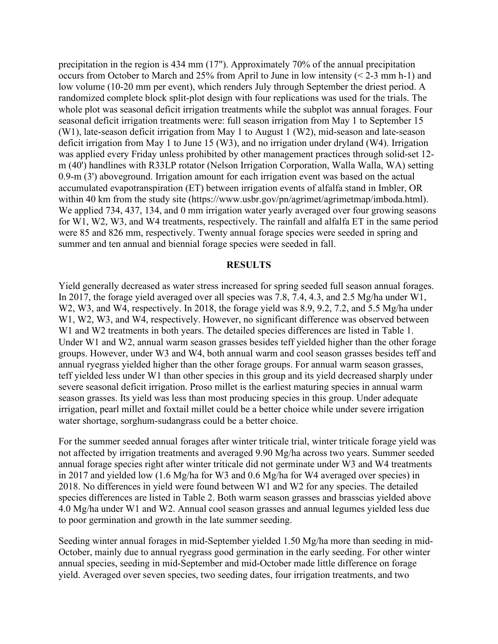precipitation in the region is 434 mm (17"). Approximately 70% of the annual precipitation occurs from October to March and 25% from April to June in low intensity (< 2-3 mm h-1) and low volume (10-20 mm per event), which renders July through September the driest period. A randomized complete block split-plot design with four replications was used for the trials. The whole plot was seasonal deficit irrigation treatments while the subplot was annual forages. Four seasonal deficit irrigation treatments were: full season irrigation from May 1 to September 15 (W1), late-season deficit irrigation from May 1 to August 1 (W2), mid-season and late-season deficit irrigation from May 1 to June 15 (W3), and no irrigation under dryland (W4). Irrigation was applied every Friday unless prohibited by other management practices through solid-set 12 m (40') handlines with R33LP rotator (Nelson Irrigation Corporation, Walla Walla, WA) setting 0.9-m (3') aboveground. Irrigation amount for each irrigation event was based on the actual accumulated evapotranspiration (ET) between irrigation events of alfalfa stand in Imbler, OR within 40 km from the study site (https://www.usbr.gov/pn/agrimet/agrimetmap/imboda.html). We applied 734, 437, 134, and 0 mm irrigation water yearly averaged over four growing seasons for W1, W2, W3, and W4 treatments, respectively. The rainfall and alfalfa ET in the same period were 85 and 826 mm, respectively. Twenty annual forage species were seeded in spring and summer and ten annual and biennial forage species were seeded in fall.

### **RESULTS**

Yield generally decreased as water stress increased for spring seeded full season annual forages. In 2017, the forage yield averaged over all species was 7.8, 7.4, 4.3, and 2.5 Mg/ha under W1, W2, W3, and W4, respectively. In 2018, the forage yield was 8.9, 9.2, 7.2, and 5.5 Mg/ha under W<sub>1</sub>, W<sub>2</sub>, W<sub>3</sub>, and W<sub>4</sub>, respectively. However, no significant difference was observed between W1 and W2 treatments in both years. The detailed species differences are listed in Table 1. Under W1 and W2, annual warm season grasses besides teff yielded higher than the other forage groups. However, under W3 and W4, both annual warm and cool season grasses besides teff and annual ryegrass yielded higher than the other forage groups. For annual warm season grasses, teff yielded less under W1 than other species in this group and its yield decreased sharply under severe seasonal deficit irrigation. Proso millet is the earliest maturing species in annual warm season grasses. Its yield was less than most producing species in this group. Under adequate irrigation, pearl millet and foxtail millet could be a better choice while under severe irrigation water shortage, sorghum-sudangrass could be a better choice.

For the summer seeded annual forages after winter triticale trial, winter triticale forage yield was not affected by irrigation treatments and averaged 9.90 Mg/ha across two years. Summer seeded annual forage species right after winter triticale did not germinate under W3 and W4 treatments in 2017 and yielded low (1.6 Mg/ha for W3 and 0.6 Mg/ha for W4 averaged over species) in 2018. No differences in yield were found between W1 and W2 for any species. The detailed species differences are listed in Table 2. Both warm season grasses and brasscias yielded above 4.0 Mg/ha under W1 and W2. Annual cool season grasses and annual legumes yielded less due to poor germination and growth in the late summer seeding.

Seeding winter annual forages in mid-September yielded 1.50 Mg/ha more than seeding in mid-October, mainly due to annual ryegrass good germination in the early seeding. For other winter annual species, seeding in mid-September and mid-October made little difference on forage yield. Averaged over seven species, two seeding dates, four irrigation treatments, and two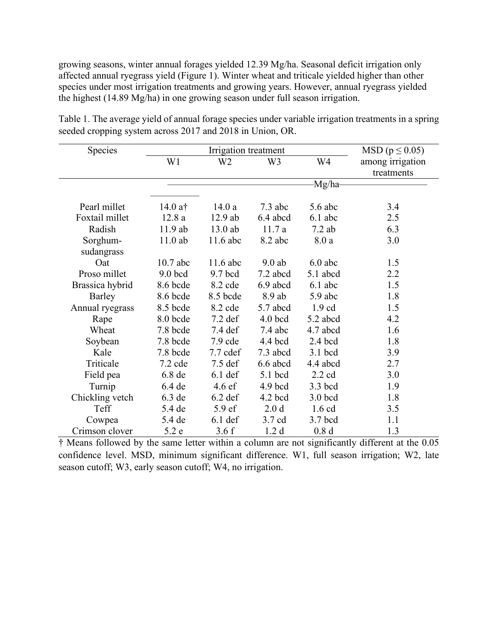growing seasons, winter annual forages yielded 12.39 Mg/ha. Seasonal deficit irrigation only affected annual ryegrass yield (Figure 1). Winter wheat and triticale yielded higher than other species under most irrigation treatments and growing years. However, annual ryegrass yielded the highest (14.89 Mg/ha) in one growing season under full season irrigation.

| Species         |            | $\text{MSD}$ ( $p \leq 0.05$ ) |                  |                  |                  |
|-----------------|------------|--------------------------------|------------------|------------------|------------------|
|                 | W1         | W <sub>2</sub>                 | W <sub>3</sub>   | W4               | among irrigation |
|                 |            |                                |                  |                  | treatments       |
|                 |            |                                |                  | -Mg/ha-          |                  |
|                 |            |                                |                  |                  |                  |
| Pearl millet    | $14.0$ at  | 14.0a                          | $7.3$ abc        | $5.6$ abc        | 3.4              |
| Foxtail millet  | 12.8a      | $12.9$ ab                      | 6.4 abcd         | $6.1$ abc        | 2.5              |
| Radish          | 11.9 ab    | 13.0 ab                        | 11.7a            | $7.2$ ab         | 6.3              |
| Sorghum-        | $11.0$ ab  | $11.6$ abc                     | 8.2 abc          | 8.0a             | 3.0              |
| sudangrass      |            |                                |                  |                  |                  |
| Oat             | $10.7$ abc | $11.6$ abc                     | $9.0$ ab         | $6.0$ abc        | 1.5              |
| Proso millet    | $9.0$ bcd  | $9.7$ bcd                      | 7.2 abcd         | 5.1 abcd         | 2.2              |
| Brassica hybrid | 8.6 bcde   | 8.2 cde                        | 6.9 abcd         | $6.1$ abc        | 1.5              |
| Barley          | 8.6 bcde   | 8.5 bcde                       | 8.9 ab           | $5.9$ abc        | 1.8              |
| Annual ryegrass | 8.5 bcde   | 8.2 cde                        | 5.7 abcd         | $1.9 \text{ cd}$ | 1.5              |
| Rape            | 8.0 bcde   | $7.2$ def                      | $4.0$ bcd        | 5.2 abcd         | 4.2              |
| Wheat           | 7.8 bcde   | 7.4 def                        | $7.4$ abc        | 4.7 abcd         | 1.6              |
| Soybean         | 7.8 bcde   | $7.9$ cde                      | 4.4 bcd          | $2.4$ bcd        | 1.8              |
| Kale            | 7.8 bcde   | 7.7 cdef                       | 7.3 abcd         | 3.1 bcd          | 3.9              |
| Triticale       | $7.2$ cde  | $7.5$ def                      | 6.6 abcd         | 4.4 abcd         | 2.7              |
| Field pea       | 6.8de      | $6.1$ def                      | 5.1 bcd          | $2.2 \text{ cd}$ | 3.0              |
| Turnip          | 6.4 de     | $4.6 \text{ ef}$               | $4.9$ bcd        | 3.3 bcd          | 1.9              |
| Chickling vetch | $6.3$ de   | $6.2$ def                      | $4.2$ bcd        | $3.0$ bcd        | 1.8              |
| Teff            | 5.4 de     | 5.9 ef                         | 2.0 <sub>d</sub> | $1.6$ cd         | 3.5              |
| Cowpea          | 5.4 de     | $6.1$ def                      | 3.7 cd           | 3.7 bcd          | 1.1              |
| Crimson clover  | 5.2 e      | 3.6f                           | 1.2 <sub>d</sub> | 0.8 <sub>d</sub> | 1.3              |

Table 1. The average yield of annual forage species under variable irrigation treatments in a spring seeded cropping system across 2017 and 2018 in Union, OR.

† Means followed by the same letter within a column are not significantly different at the 0.05 confidence level. MSD, minimum significant difference. W1, full season irrigation; W2, late season cutoff; W3, early season cutoff; W4, no irrigation.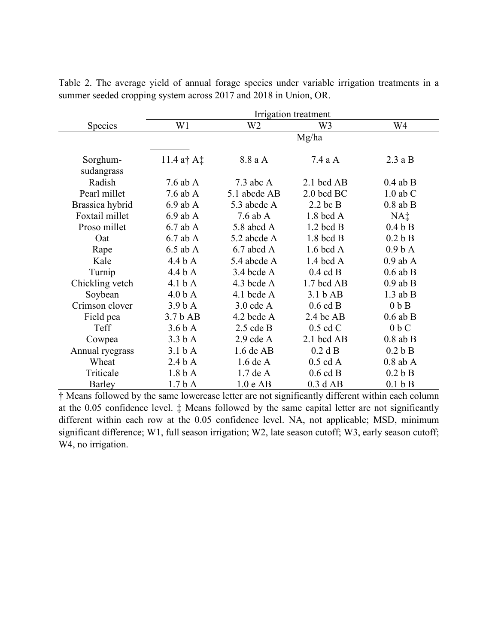|                 | Irrigation treatment |              |                     |                    |  |  |  |
|-----------------|----------------------|--------------|---------------------|--------------------|--|--|--|
| Species         | W1                   | W2           | W3                  | W4                 |  |  |  |
|                 | Mg/ha-               |              |                     |                    |  |  |  |
|                 |                      |              |                     |                    |  |  |  |
| Sorghum-        | 11.4 a† A $\ddagger$ | 8.8 a A      | 7.4aA               | 2.3aB              |  |  |  |
| sudangrass      |                      |              |                     |                    |  |  |  |
| Radish          | 7.6 ab $A$           | $7.3$ abc A  | $2.1$ bcd AB        | $0.4$ ab B         |  |  |  |
| Pearl millet    | $7.6$ ab A           | 5.1 abcde AB | $2.0$ bcd BC        | $1.0$ ab $C$       |  |  |  |
| Brassica hybrid | $6.9$ ab A           | 5.3 abcde A  | $2.2$ bc B          | $0.8$ ab B         |  |  |  |
| Foxtail millet  | $6.9$ ab A           | $7.6$ ab A   | $1.8$ bcd A         | NA‡                |  |  |  |
| Proso millet    | $6.7$ ab A           | 5.8 abcd A   | $1.2$ bcd B         | 0.4 b B            |  |  |  |
| Oat             | $6.7$ ab A           | 5.2 abcde A  | $1.8$ bcd B         | 0.2 b B            |  |  |  |
| Rape            | $6.5$ ab A           | $6.7$ abcd A | $1.6$ bcd A         | 0.9 <sub>b</sub> A |  |  |  |
| Kale            | 4.4 b A              | 5.4 abcde A  | $1.4$ bcd A         | $0.9$ ab A         |  |  |  |
| Turnip          | 4.4 b A              | 3.4 bcde A   | $0.4$ cd B          | $0.6$ ab B         |  |  |  |
| Chickling vetch | 4.1 <sub>b</sub> A   | 4.3 bcde A   | 1.7 bcd AB          | $0.9$ ab B         |  |  |  |
| Soybean         | 4.0 <sub>b</sub> A   | 4.1 bcde $A$ | 3.1 b AB            | $1.3$ ab B         |  |  |  |
| Crimson clover  | 3.9 <sub>b</sub> A   | $3.0$ cde A  | $0.6$ cd B          | $0b$ B             |  |  |  |
| Field pea       | 3.7 <sub>b</sub> AB  | 4.2 bcde A   | $2.4$ bc AB         | $0.6$ ab B         |  |  |  |
| Teff            | 3.6 <sub>b</sub> A   | $2.5$ cde B  | $0.5$ cd C          | $0b$ C             |  |  |  |
| Cowpea          | 3.3 <sub>b</sub> A   | $2.9$ cde A  | $2.1$ bcd AB        | $0.8$ ab B         |  |  |  |
| Annual ryegrass | 3.1 <sub>b</sub> A   | $1.6$ de AB  | $0.2$ d B           | 0.2 b B            |  |  |  |
| Wheat           | 2.4 <sub>b</sub> A   | $1.6$ de A   | $0.5 \text{ cd } A$ | $0.8$ ab A         |  |  |  |
| Triticale       | 1.8 <sub>b</sub> A   | $1.7$ de A   | $0.6$ cd B          | 0.2 b B            |  |  |  |
| <b>Barley</b>   | 1.7 <sub>b</sub> A   | 1.0 e AB     | 0.3 dAB             | 0.1 b B            |  |  |  |

Table 2. The average yield of annual forage species under variable irrigation treatments in a summer seeded cropping system across 2017 and 2018 in Union, OR.

† Means followed by the same lowercase letter are not significantly different within each column at the 0.05 confidence level. ‡ Means followed by the same capital letter are not significantly different within each row at the 0.05 confidence level. NA, not applicable; MSD, minimum significant difference; W1, full season irrigation; W2, late season cutoff; W3, early season cutoff; W4, no irrigation.